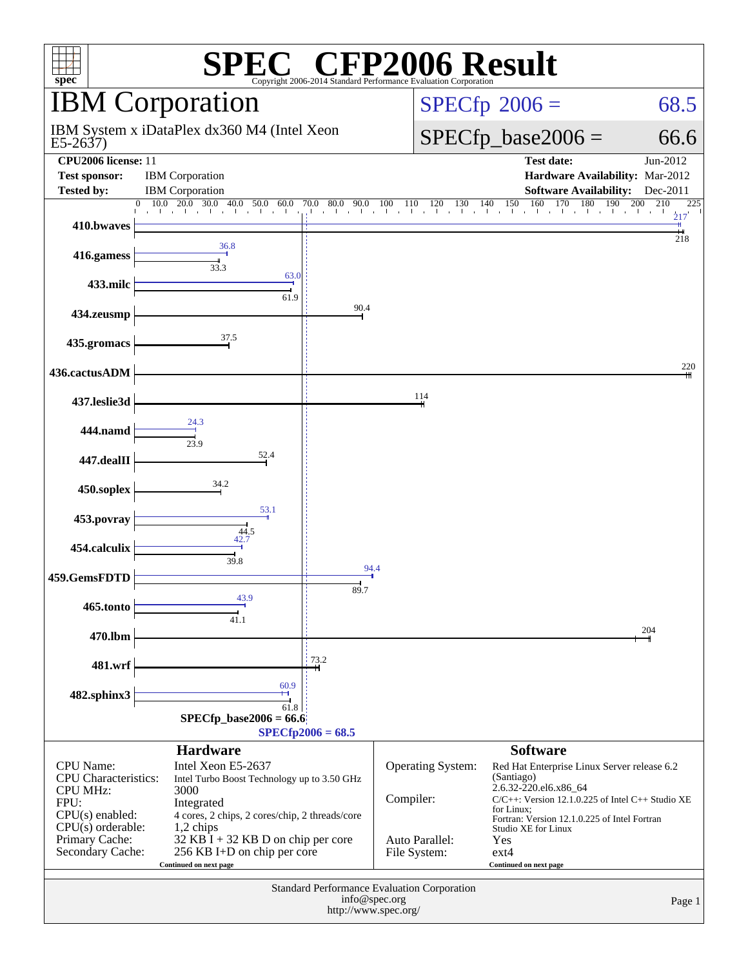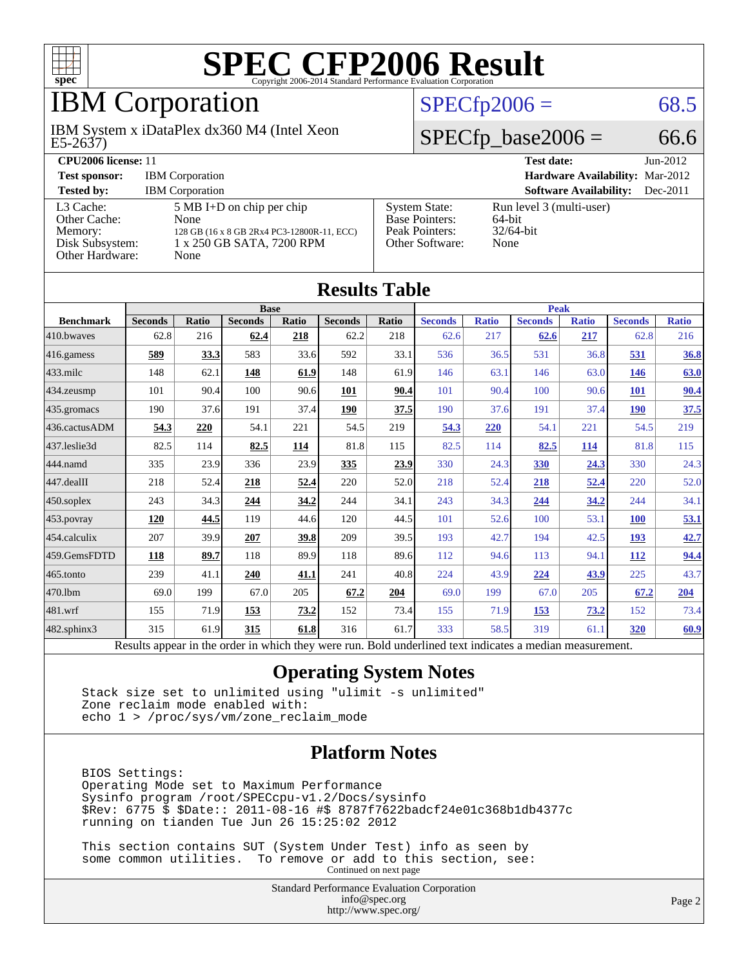

## IBM Corporation

E5-2637) IBM System x iDataPlex dx360 M4 (Intel Xeon

#### $SPECTp2006 = 68.5$

#### $SPECfp\_base2006 = 66.6$

| CPU <sub>2006</sub> license: 11                                            |                                                                                                                                |                                                                                    | <b>Test date:</b><br>$Jun-2012$                            |
|----------------------------------------------------------------------------|--------------------------------------------------------------------------------------------------------------------------------|------------------------------------------------------------------------------------|------------------------------------------------------------|
| <b>Test sponsor:</b>                                                       | <b>IBM</b> Corporation                                                                                                         |                                                                                    | <b>Hardware Availability: Mar-2012</b>                     |
| <b>Tested by:</b>                                                          | <b>IBM</b> Corporation                                                                                                         |                                                                                    | <b>Software Availability:</b><br>$Dec-2011$                |
| L3 Cache:<br>Other Cache:<br>Memory:<br>Disk Subsystem:<br>Other Hardware: | $5 \text{ MB I+D}$ on chip per chip<br>None<br>128 GB (16 x 8 GB 2Rx4 PC3-12800R-11, ECC)<br>1 x 250 GB SATA, 7200 RPM<br>None | <b>System State:</b><br><b>Base Pointers:</b><br>Peak Pointers:<br>Other Software: | Run level 3 (multi-user)<br>64-bit<br>$32/64$ -bit<br>None |

**[Results Table](http://www.spec.org/auto/cpu2006/Docs/result-fields.html#ResultsTable)**

| Results Table    |                                                                                                          |              |                |       |                |       |                |              |                |              |                |              |
|------------------|----------------------------------------------------------------------------------------------------------|--------------|----------------|-------|----------------|-------|----------------|--------------|----------------|--------------|----------------|--------------|
|                  |                                                                                                          |              | <b>Base</b>    |       |                |       | <b>Peak</b>    |              |                |              |                |              |
| <b>Benchmark</b> | <b>Seconds</b>                                                                                           | <b>Ratio</b> | <b>Seconds</b> | Ratio | <b>Seconds</b> | Ratio | <b>Seconds</b> | <b>Ratio</b> | <b>Seconds</b> | <b>Ratio</b> | <b>Seconds</b> | <b>Ratio</b> |
| 410.bwayes       | 62.8                                                                                                     | 216          | 62.4           | 218   | 62.2           | 218   | 62.6           | 217          | 62.6           | 217          | 62.8           | 216          |
| 416.gamess       | 589                                                                                                      | 33.3         | 583            | 33.6  | 592            | 33.1  | 536            | 36.5         | 531            | 36.8         | 531            | 36.8         |
| $433$ .milc      | 148                                                                                                      | 62.1         | <b>148</b>     | 61.9  | 148            | 61.9  | 146            | 63.1         | 146            | 63.0         | <u>146</u>     | 63.0         |
| 434.zeusmp       | 101                                                                                                      | 90.4         | 100            | 90.6  | 101            | 90.4  | 101            | 90.4         | 100            | 90.6         | 101            | 90.4         |
| 435 gromacs      | 190                                                                                                      | 37.6         | 191            | 37.4  | 190            | 37.5  | 190            | 37.6         | 191            | 37.4         | <b>190</b>     | 37.5         |
| 436.cactusADM    | 54.3                                                                                                     | 220          | 54.1           | 221   | 54.5           | 219   | 54.3           | 220          | 54.1           | 221          | 54.5           | 219          |
| 437.leslie3d     | 82.5                                                                                                     | 114          | 82.5           | 114   | 81.8           | 115   | 82.5           | 114          | 82.5           | 114          | 81.8           | 115          |
| 444.namd         | 335                                                                                                      | 23.9         | 336            | 23.9  | 335            | 23.9  | 330            | 24.3         | 330            | 24.3         | 330            | 24.3         |
| 447.dealII       | 218                                                                                                      | 52.4         | 218            | 52.4  | 220            | 52.0  | 218            | 52.4         | 218            | 52.4         | 220            | 52.0         |
| $450$ .soplex    | 243                                                                                                      | 34.3         | 244            | 34.2  | 244            | 34.1  | 243            | 34.3         | 244            | 34.2         | 244            | 34.1         |
| 453.povray       | 120                                                                                                      | 44.5         | 119            | 44.6  | 120            | 44.5  | 101            | 52.6         | 100            | 53.1         | <b>100</b>     | 53.1         |
| 454.calculix     | 207                                                                                                      | 39.9         | 207            | 39.8  | 209            | 39.5  | 193            | 42.7         | 194            | 42.5         | <u>193</u>     | 42.7         |
| 459.GemsFDTD     | 118                                                                                                      | 89.7         | 118            | 89.9  | 118            | 89.6  | 112            | 94.6         | 113            | 94.1         | <u>112</u>     | 94.4         |
| 465.tonto        | 239                                                                                                      | 41.1         | 240            | 41.1  | 241            | 40.8  | 224            | 43.9         | 224            | 43.9         | 225            | 43.7         |
| 470.1bm          | 69.0                                                                                                     | 199          | 67.0           | 205   | 67.2           | 204   | 69.0           | 199          | 67.0           | 205          | 67.2           | 204          |
| 481.wrf          | 155                                                                                                      | 71.9         | 153            | 73.2  | 152            | 73.4  | 155            | 71.9         | <u>153</u>     | 73.2         | 152            | 73.4         |
| 482.sphinx3      | 315                                                                                                      | 61.9         | 315            | 61.8  | 316            | 61.7  | 333            | 58.5         | 319            | 61.1         | 320            | 60.9         |
|                  | Results appear in the order in which they were run. Bold underlined text indicates a median measurement. |              |                |       |                |       |                |              |                |              |                |              |

#### **[Operating System Notes](http://www.spec.org/auto/cpu2006/Docs/result-fields.html#OperatingSystemNotes)**

 Stack size set to unlimited using "ulimit -s unlimited" Zone reclaim mode enabled with: echo 1 > /proc/sys/vm/zone\_reclaim\_mode

#### **[Platform Notes](http://www.spec.org/auto/cpu2006/Docs/result-fields.html#PlatformNotes)**

 BIOS Settings: Operating Mode set to Maximum Performance Sysinfo program /root/SPECcpu-v1.2/Docs/sysinfo \$Rev: 6775 \$ \$Date:: 2011-08-16 #\$ 8787f7622badcf24e01c368b1db4377c running on tianden Tue Jun 26 15:25:02 2012

 This section contains SUT (System Under Test) info as seen by some common utilities. To remove or add to this section, see: Continued on next page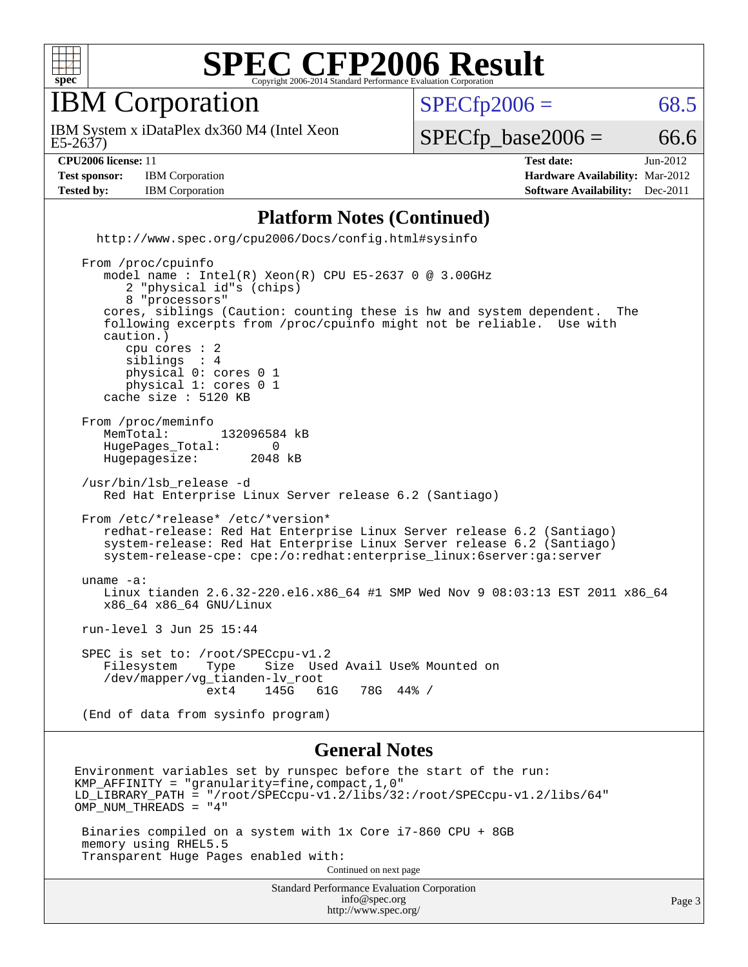

IBM Corporation

 $SPECTp2006 = 68.5$ 

E5-2637) IBM System x iDataPlex dx360 M4 (Intel Xeon

 $SPECTp\_base2006 = 66.6$ 

**[Test sponsor:](http://www.spec.org/auto/cpu2006/Docs/result-fields.html#Testsponsor)** IBM Corporation **[Hardware Availability:](http://www.spec.org/auto/cpu2006/Docs/result-fields.html#HardwareAvailability)** Mar-2012 **[Tested by:](http://www.spec.org/auto/cpu2006/Docs/result-fields.html#Testedby)** IBM Corporation **[Software Availability:](http://www.spec.org/auto/cpu2006/Docs/result-fields.html#SoftwareAvailability)** Dec-2011

**[CPU2006 license:](http://www.spec.org/auto/cpu2006/Docs/result-fields.html#CPU2006license)** 11 **[Test date:](http://www.spec.org/auto/cpu2006/Docs/result-fields.html#Testdate)** Jun-2012

#### **[Platform Notes \(Continued\)](http://www.spec.org/auto/cpu2006/Docs/result-fields.html#PlatformNotes)**

 <http://www.spec.org/cpu2006/Docs/config.html#sysinfo> From /proc/cpuinfo model name : Intel(R) Xeon(R) CPU E5-2637 0 @ 3.00GHz 2 "physical id"s (chips) 8 "processors" cores, siblings (Caution: counting these is hw and system dependent. The following excerpts from /proc/cpuinfo might not be reliable. Use with caution.) cpu cores : 2<br>siblings : 4 siblings physical 0: cores 0 1 physical 1: cores 0 1 cache size : 5120 KB From /proc/meminfo<br>MemTotal: 132096584 kB HugePages\_Total: 0<br>Hugepagesize: 2048 kB Hugepagesize: /usr/bin/lsb\_release -d Red Hat Enterprise Linux Server release 6.2 (Santiago) From /etc/\*release\* /etc/\*version\* redhat-release: Red Hat Enterprise Linux Server release 6.2 (Santiago) system-release: Red Hat Enterprise Linux Server release 6.2 (Santiago) system-release-cpe: cpe:/o:redhat:enterprise\_linux:6server:ga:server uname -a: Linux tianden 2.6.32-220.el6.x86\_64 #1 SMP Wed Nov 9 08:03:13 EST 2011 x86\_64 x86\_64 x86\_64 GNU/Linux run-level 3 Jun 25 15:44 SPEC is set to: /root/SPECcpu-v1.2 Filesystem Type Size Used Avail Use% Mounted on /dev/mapper/vg\_tianden-lv\_root ext4 145G 61G 78G 44% / (End of data from sysinfo program)

#### **[General Notes](http://www.spec.org/auto/cpu2006/Docs/result-fields.html#GeneralNotes)**

<http://www.spec.org/>

Standard Performance Evaluation Corporation [info@spec.org](mailto:info@spec.org) Environment variables set by runspec before the start of the run: KMP\_AFFINITY = "granularity=fine,compact,1,0" LD\_LIBRARY\_PATH = "/root/SPECcpu-v1.2/libs/32:/root/SPECcpu-v1.2/libs/64" OMP\_NUM\_THREADS = "4" Binaries compiled on a system with 1x Core i7-860 CPU + 8GB memory using RHEL5.5 Transparent Huge Pages enabled with: Continued on next page

Page 3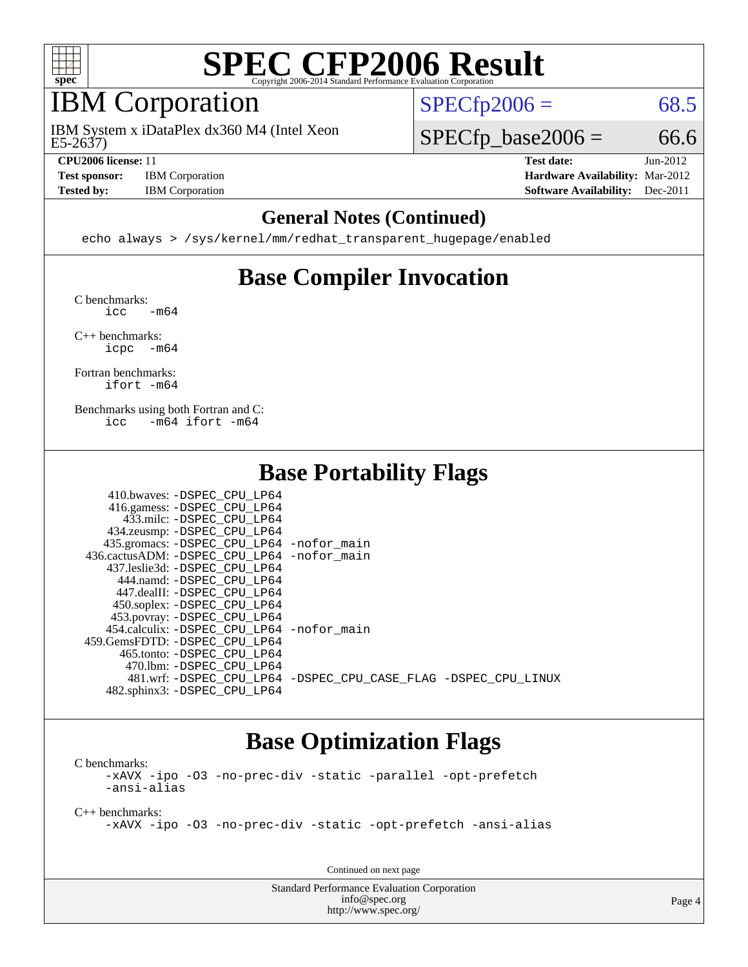

#### IBM Corporation

E5-2637) IBM System x iDataPlex dx360 M4 (Intel Xeon

**[Test sponsor:](http://www.spec.org/auto/cpu2006/Docs/result-fields.html#Testsponsor)** IBM Corporation **[Hardware Availability:](http://www.spec.org/auto/cpu2006/Docs/result-fields.html#HardwareAvailability)** Mar-2012

 $SPECTp2006 = 68.5$ 

 $SPECTp\_base2006 = 66.6$ 

**[CPU2006 license:](http://www.spec.org/auto/cpu2006/Docs/result-fields.html#CPU2006license)** 11 **[Test date:](http://www.spec.org/auto/cpu2006/Docs/result-fields.html#Testdate)** Jun-2012 **[Tested by:](http://www.spec.org/auto/cpu2006/Docs/result-fields.html#Testedby)** IBM Corporation **[Software Availability:](http://www.spec.org/auto/cpu2006/Docs/result-fields.html#SoftwareAvailability)** Dec-2011

#### **[General Notes \(Continued\)](http://www.spec.org/auto/cpu2006/Docs/result-fields.html#GeneralNotes)**

echo always > /sys/kernel/mm/redhat\_transparent\_hugepage/enabled

### **[Base Compiler Invocation](http://www.spec.org/auto/cpu2006/Docs/result-fields.html#BaseCompilerInvocation)**

[C benchmarks](http://www.spec.org/auto/cpu2006/Docs/result-fields.html#Cbenchmarks):  $\text{icc}$   $-\text{m64}$ 

[C++ benchmarks:](http://www.spec.org/auto/cpu2006/Docs/result-fields.html#CXXbenchmarks) [icpc -m64](http://www.spec.org/cpu2006/results/res2012q3/cpu2006-20120628-23213.flags.html#user_CXXbase_intel_icpc_64bit_bedb90c1146cab66620883ef4f41a67e)

[Fortran benchmarks](http://www.spec.org/auto/cpu2006/Docs/result-fields.html#Fortranbenchmarks): [ifort -m64](http://www.spec.org/cpu2006/results/res2012q3/cpu2006-20120628-23213.flags.html#user_FCbase_intel_ifort_64bit_ee9d0fb25645d0210d97eb0527dcc06e)

[Benchmarks using both Fortran and C](http://www.spec.org/auto/cpu2006/Docs/result-fields.html#BenchmarksusingbothFortranandC): [icc -m64](http://www.spec.org/cpu2006/results/res2012q3/cpu2006-20120628-23213.flags.html#user_CC_FCbase_intel_icc_64bit_0b7121f5ab7cfabee23d88897260401c) [ifort -m64](http://www.spec.org/cpu2006/results/res2012q3/cpu2006-20120628-23213.flags.html#user_CC_FCbase_intel_ifort_64bit_ee9d0fb25645d0210d97eb0527dcc06e)

#### **[Base Portability Flags](http://www.spec.org/auto/cpu2006/Docs/result-fields.html#BasePortabilityFlags)**

| 410.bwaves: -DSPEC CPU LP64                |                                                                |
|--------------------------------------------|----------------------------------------------------------------|
| 416.gamess: -DSPEC_CPU_LP64                |                                                                |
| 433.milc: -DSPEC CPU LP64                  |                                                                |
| 434.zeusmp: -DSPEC_CPU_LP64                |                                                                |
| 435.gromacs: -DSPEC_CPU_LP64 -nofor_main   |                                                                |
| 436.cactusADM: -DSPEC CPU LP64 -nofor main |                                                                |
| 437.leslie3d: -DSPEC CPU LP64              |                                                                |
| 444.namd: -DSPEC CPU LP64                  |                                                                |
| 447.dealII: -DSPEC_CPU_LP64                |                                                                |
| 450.soplex: -DSPEC_CPU_LP64                |                                                                |
| 453.povray: -DSPEC_CPU_LP64                |                                                                |
| 454.calculix: -DSPEC CPU LP64 -nofor main  |                                                                |
| 459.GemsFDTD: -DSPEC CPU LP64              |                                                                |
| 465.tonto: -DSPEC CPU LP64                 |                                                                |
| 470.1bm: - DSPEC CPU LP64                  |                                                                |
|                                            | 481.wrf: -DSPEC_CPU_LP64 -DSPEC_CPU_CASE_FLAG -DSPEC_CPU_LINUX |
| 482.sphinx3: -DSPEC CPU LP64               |                                                                |

#### **[Base Optimization Flags](http://www.spec.org/auto/cpu2006/Docs/result-fields.html#BaseOptimizationFlags)**

[C benchmarks](http://www.spec.org/auto/cpu2006/Docs/result-fields.html#Cbenchmarks): [-xAVX](http://www.spec.org/cpu2006/results/res2012q3/cpu2006-20120628-23213.flags.html#user_CCbase_f-xAVX) [-ipo](http://www.spec.org/cpu2006/results/res2012q3/cpu2006-20120628-23213.flags.html#user_CCbase_f-ipo) [-O3](http://www.spec.org/cpu2006/results/res2012q3/cpu2006-20120628-23213.flags.html#user_CCbase_f-O3) [-no-prec-div](http://www.spec.org/cpu2006/results/res2012q3/cpu2006-20120628-23213.flags.html#user_CCbase_f-no-prec-div) [-static](http://www.spec.org/cpu2006/results/res2012q3/cpu2006-20120628-23213.flags.html#user_CCbase_f-static) [-parallel](http://www.spec.org/cpu2006/results/res2012q3/cpu2006-20120628-23213.flags.html#user_CCbase_f-parallel) [-opt-prefetch](http://www.spec.org/cpu2006/results/res2012q3/cpu2006-20120628-23213.flags.html#user_CCbase_f-opt-prefetch) [-ansi-alias](http://www.spec.org/cpu2006/results/res2012q3/cpu2006-20120628-23213.flags.html#user_CCbase_f-ansi-alias)

[C++ benchmarks:](http://www.spec.org/auto/cpu2006/Docs/result-fields.html#CXXbenchmarks)

[-xAVX](http://www.spec.org/cpu2006/results/res2012q3/cpu2006-20120628-23213.flags.html#user_CXXbase_f-xAVX) [-ipo](http://www.spec.org/cpu2006/results/res2012q3/cpu2006-20120628-23213.flags.html#user_CXXbase_f-ipo) [-O3](http://www.spec.org/cpu2006/results/res2012q3/cpu2006-20120628-23213.flags.html#user_CXXbase_f-O3) [-no-prec-div](http://www.spec.org/cpu2006/results/res2012q3/cpu2006-20120628-23213.flags.html#user_CXXbase_f-no-prec-div) [-static](http://www.spec.org/cpu2006/results/res2012q3/cpu2006-20120628-23213.flags.html#user_CXXbase_f-static) [-opt-prefetch](http://www.spec.org/cpu2006/results/res2012q3/cpu2006-20120628-23213.flags.html#user_CXXbase_f-opt-prefetch) [-ansi-alias](http://www.spec.org/cpu2006/results/res2012q3/cpu2006-20120628-23213.flags.html#user_CXXbase_f-ansi-alias)

Continued on next page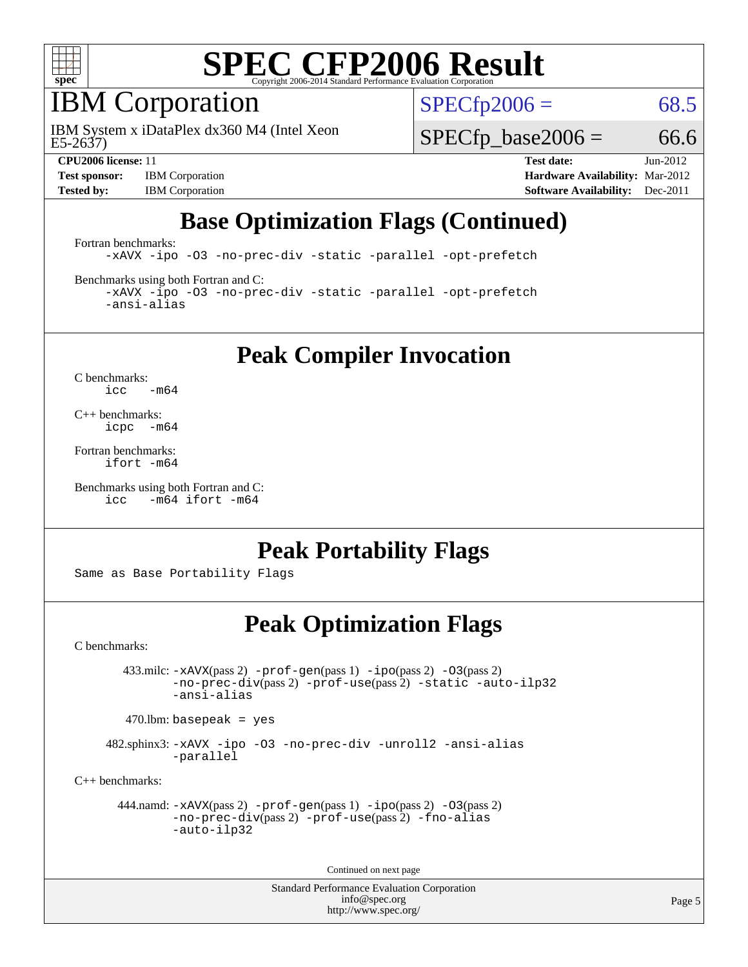

### IBM Corporation

E5-2637) IBM System x iDataPlex dx360 M4 (Intel Xeon  $SPECTp2006 = 68.5$ 

 $SPECTp\_base2006 = 66.6$ 

**[Test sponsor:](http://www.spec.org/auto/cpu2006/Docs/result-fields.html#Testsponsor)** IBM Corporation **[Hardware Availability:](http://www.spec.org/auto/cpu2006/Docs/result-fields.html#HardwareAvailability)** Mar-2012

**[CPU2006 license:](http://www.spec.org/auto/cpu2006/Docs/result-fields.html#CPU2006license)** 11 **[Test date:](http://www.spec.org/auto/cpu2006/Docs/result-fields.html#Testdate)** Jun-2012 **[Tested by:](http://www.spec.org/auto/cpu2006/Docs/result-fields.html#Testedby)** IBM Corporation **[Software Availability:](http://www.spec.org/auto/cpu2006/Docs/result-fields.html#SoftwareAvailability)** Dec-2011

## **[Base Optimization Flags \(Continued\)](http://www.spec.org/auto/cpu2006/Docs/result-fields.html#BaseOptimizationFlags)**

[Fortran benchmarks](http://www.spec.org/auto/cpu2006/Docs/result-fields.html#Fortranbenchmarks):

[-xAVX](http://www.spec.org/cpu2006/results/res2012q3/cpu2006-20120628-23213.flags.html#user_FCbase_f-xAVX) [-ipo](http://www.spec.org/cpu2006/results/res2012q3/cpu2006-20120628-23213.flags.html#user_FCbase_f-ipo) [-O3](http://www.spec.org/cpu2006/results/res2012q3/cpu2006-20120628-23213.flags.html#user_FCbase_f-O3) [-no-prec-div](http://www.spec.org/cpu2006/results/res2012q3/cpu2006-20120628-23213.flags.html#user_FCbase_f-no-prec-div) [-static](http://www.spec.org/cpu2006/results/res2012q3/cpu2006-20120628-23213.flags.html#user_FCbase_f-static) [-parallel](http://www.spec.org/cpu2006/results/res2012q3/cpu2006-20120628-23213.flags.html#user_FCbase_f-parallel) [-opt-prefetch](http://www.spec.org/cpu2006/results/res2012q3/cpu2006-20120628-23213.flags.html#user_FCbase_f-opt-prefetch)

[Benchmarks using both Fortran and C](http://www.spec.org/auto/cpu2006/Docs/result-fields.html#BenchmarksusingbothFortranandC):

[-xAVX](http://www.spec.org/cpu2006/results/res2012q3/cpu2006-20120628-23213.flags.html#user_CC_FCbase_f-xAVX) [-ipo](http://www.spec.org/cpu2006/results/res2012q3/cpu2006-20120628-23213.flags.html#user_CC_FCbase_f-ipo) [-O3](http://www.spec.org/cpu2006/results/res2012q3/cpu2006-20120628-23213.flags.html#user_CC_FCbase_f-O3) [-no-prec-div](http://www.spec.org/cpu2006/results/res2012q3/cpu2006-20120628-23213.flags.html#user_CC_FCbase_f-no-prec-div) [-static](http://www.spec.org/cpu2006/results/res2012q3/cpu2006-20120628-23213.flags.html#user_CC_FCbase_f-static) [-parallel](http://www.spec.org/cpu2006/results/res2012q3/cpu2006-20120628-23213.flags.html#user_CC_FCbase_f-parallel) [-opt-prefetch](http://www.spec.org/cpu2006/results/res2012q3/cpu2006-20120628-23213.flags.html#user_CC_FCbase_f-opt-prefetch) [-ansi-alias](http://www.spec.org/cpu2006/results/res2012q3/cpu2006-20120628-23213.flags.html#user_CC_FCbase_f-ansi-alias)

**[Peak Compiler Invocation](http://www.spec.org/auto/cpu2006/Docs/result-fields.html#PeakCompilerInvocation)**

[C benchmarks](http://www.spec.org/auto/cpu2006/Docs/result-fields.html#Cbenchmarks):  $\text{icc}$  -m64

[C++ benchmarks:](http://www.spec.org/auto/cpu2006/Docs/result-fields.html#CXXbenchmarks) [icpc -m64](http://www.spec.org/cpu2006/results/res2012q3/cpu2006-20120628-23213.flags.html#user_CXXpeak_intel_icpc_64bit_bedb90c1146cab66620883ef4f41a67e)

[Fortran benchmarks](http://www.spec.org/auto/cpu2006/Docs/result-fields.html#Fortranbenchmarks): [ifort -m64](http://www.spec.org/cpu2006/results/res2012q3/cpu2006-20120628-23213.flags.html#user_FCpeak_intel_ifort_64bit_ee9d0fb25645d0210d97eb0527dcc06e)

[Benchmarks using both Fortran and C](http://www.spec.org/auto/cpu2006/Docs/result-fields.html#BenchmarksusingbothFortranandC): [icc -m64](http://www.spec.org/cpu2006/results/res2012q3/cpu2006-20120628-23213.flags.html#user_CC_FCpeak_intel_icc_64bit_0b7121f5ab7cfabee23d88897260401c) [ifort -m64](http://www.spec.org/cpu2006/results/res2012q3/cpu2006-20120628-23213.flags.html#user_CC_FCpeak_intel_ifort_64bit_ee9d0fb25645d0210d97eb0527dcc06e)

### **[Peak Portability Flags](http://www.spec.org/auto/cpu2006/Docs/result-fields.html#PeakPortabilityFlags)**

Same as Base Portability Flags

### **[Peak Optimization Flags](http://www.spec.org/auto/cpu2006/Docs/result-fields.html#PeakOptimizationFlags)**

[C benchmarks](http://www.spec.org/auto/cpu2006/Docs/result-fields.html#Cbenchmarks):

 433.milc: [-xAVX](http://www.spec.org/cpu2006/results/res2012q3/cpu2006-20120628-23213.flags.html#user_peakPASS2_CFLAGSPASS2_LDFLAGS433_milc_f-xAVX)(pass 2) [-prof-gen](http://www.spec.org/cpu2006/results/res2012q3/cpu2006-20120628-23213.flags.html#user_peakPASS1_CFLAGSPASS1_LDFLAGS433_milc_prof_gen_e43856698f6ca7b7e442dfd80e94a8fc)(pass 1) [-ipo](http://www.spec.org/cpu2006/results/res2012q3/cpu2006-20120628-23213.flags.html#user_peakPASS2_CFLAGSPASS2_LDFLAGS433_milc_f-ipo)(pass 2) [-O3](http://www.spec.org/cpu2006/results/res2012q3/cpu2006-20120628-23213.flags.html#user_peakPASS2_CFLAGSPASS2_LDFLAGS433_milc_f-O3)(pass 2) [-no-prec-div](http://www.spec.org/cpu2006/results/res2012q3/cpu2006-20120628-23213.flags.html#user_peakPASS2_CFLAGSPASS2_LDFLAGS433_milc_f-no-prec-div)(pass 2) [-prof-use](http://www.spec.org/cpu2006/results/res2012q3/cpu2006-20120628-23213.flags.html#user_peakPASS2_CFLAGSPASS2_LDFLAGS433_milc_prof_use_bccf7792157ff70d64e32fe3e1250b55)(pass 2) [-static](http://www.spec.org/cpu2006/results/res2012q3/cpu2006-20120628-23213.flags.html#user_peakOPTIMIZE433_milc_f-static) [-auto-ilp32](http://www.spec.org/cpu2006/results/res2012q3/cpu2006-20120628-23213.flags.html#user_peakCOPTIMIZE433_milc_f-auto-ilp32) [-ansi-alias](http://www.spec.org/cpu2006/results/res2012q3/cpu2006-20120628-23213.flags.html#user_peakCOPTIMIZE433_milc_f-ansi-alias)

 $470.$ lbm: basepeak = yes

 482.sphinx3: [-xAVX](http://www.spec.org/cpu2006/results/res2012q3/cpu2006-20120628-23213.flags.html#user_peakOPTIMIZE482_sphinx3_f-xAVX) [-ipo](http://www.spec.org/cpu2006/results/res2012q3/cpu2006-20120628-23213.flags.html#user_peakOPTIMIZE482_sphinx3_f-ipo) [-O3](http://www.spec.org/cpu2006/results/res2012q3/cpu2006-20120628-23213.flags.html#user_peakOPTIMIZE482_sphinx3_f-O3) [-no-prec-div](http://www.spec.org/cpu2006/results/res2012q3/cpu2006-20120628-23213.flags.html#user_peakOPTIMIZE482_sphinx3_f-no-prec-div) [-unroll2](http://www.spec.org/cpu2006/results/res2012q3/cpu2006-20120628-23213.flags.html#user_peakCOPTIMIZE482_sphinx3_f-unroll_784dae83bebfb236979b41d2422d7ec2) [-ansi-alias](http://www.spec.org/cpu2006/results/res2012q3/cpu2006-20120628-23213.flags.html#user_peakCOPTIMIZE482_sphinx3_f-ansi-alias) [-parallel](http://www.spec.org/cpu2006/results/res2012q3/cpu2006-20120628-23213.flags.html#user_peakCOPTIMIZE482_sphinx3_f-parallel)

[C++ benchmarks:](http://www.spec.org/auto/cpu2006/Docs/result-fields.html#CXXbenchmarks)

```
 444.namd: -xAVX(pass 2) -prof-gen(pass 1) -ipo(pass 2) -O3(pass 2)
-no-prec-div(pass 2) -prof-use(pass 2) -fno-alias
-auto-ilp32
```
Continued on next page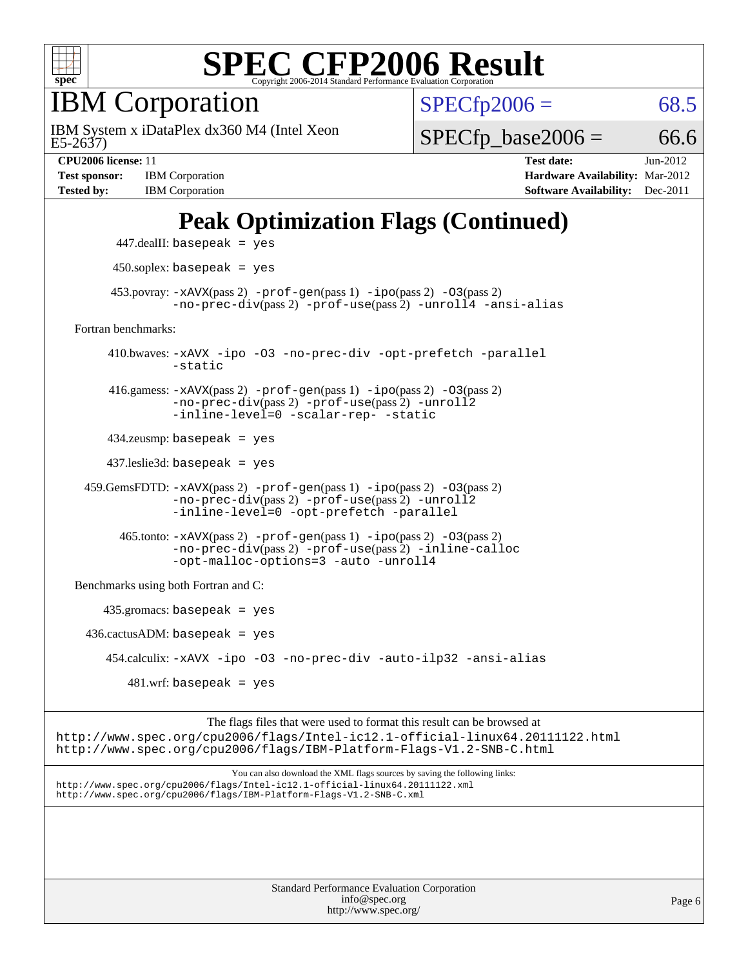

IBM Corporation

E5-2637) IBM System x iDataPlex dx360 M4 (Intel Xeon  $SPECTp2006 = 68.5$ 

 $SPECTp\_base2006 = 66.6$ 

**[Test sponsor:](http://www.spec.org/auto/cpu2006/Docs/result-fields.html#Testsponsor)** IBM Corporation **[Hardware Availability:](http://www.spec.org/auto/cpu2006/Docs/result-fields.html#HardwareAvailability)** Mar-2012 **[Tested by:](http://www.spec.org/auto/cpu2006/Docs/result-fields.html#Testedby)** IBM Corporation **[Software Availability:](http://www.spec.org/auto/cpu2006/Docs/result-fields.html#SoftwareAvailability)** Dec-2011

**[CPU2006 license:](http://www.spec.org/auto/cpu2006/Docs/result-fields.html#CPU2006license)** 11 **[Test date:](http://www.spec.org/auto/cpu2006/Docs/result-fields.html#Testdate)** Jun-2012

## **[Peak Optimization Flags \(Continued\)](http://www.spec.org/auto/cpu2006/Docs/result-fields.html#PeakOptimizationFlags)**

 447.dealII: basepeak = yes 450.soplex: basepeak = yes 453.povray:  $-x$ AVX(pass 2)  $-p$ rof-gen(pass 1)  $-i$ po(pass 2)  $-03$ (pass 2) [-no-prec-div](http://www.spec.org/cpu2006/results/res2012q3/cpu2006-20120628-23213.flags.html#user_peakPASS2_CXXFLAGSPASS2_LDFLAGS453_povray_f-no-prec-div)(pass 2) [-prof-use](http://www.spec.org/cpu2006/results/res2012q3/cpu2006-20120628-23213.flags.html#user_peakPASS2_CXXFLAGSPASS2_LDFLAGS453_povray_prof_use_bccf7792157ff70d64e32fe3e1250b55)(pass 2) [-unroll4](http://www.spec.org/cpu2006/results/res2012q3/cpu2006-20120628-23213.flags.html#user_peakCXXOPTIMIZE453_povray_f-unroll_4e5e4ed65b7fd20bdcd365bec371b81f) [-ansi-alias](http://www.spec.org/cpu2006/results/res2012q3/cpu2006-20120628-23213.flags.html#user_peakCXXOPTIMIZE453_povray_f-ansi-alias) [Fortran benchmarks](http://www.spec.org/auto/cpu2006/Docs/result-fields.html#Fortranbenchmarks): 410.bwaves: [-xAVX](http://www.spec.org/cpu2006/results/res2012q3/cpu2006-20120628-23213.flags.html#user_peakOPTIMIZE410_bwaves_f-xAVX) [-ipo](http://www.spec.org/cpu2006/results/res2012q3/cpu2006-20120628-23213.flags.html#user_peakOPTIMIZE410_bwaves_f-ipo) [-O3](http://www.spec.org/cpu2006/results/res2012q3/cpu2006-20120628-23213.flags.html#user_peakOPTIMIZE410_bwaves_f-O3) [-no-prec-div](http://www.spec.org/cpu2006/results/res2012q3/cpu2006-20120628-23213.flags.html#user_peakOPTIMIZE410_bwaves_f-no-prec-div) [-opt-prefetch](http://www.spec.org/cpu2006/results/res2012q3/cpu2006-20120628-23213.flags.html#user_peakOPTIMIZE410_bwaves_f-opt-prefetch) [-parallel](http://www.spec.org/cpu2006/results/res2012q3/cpu2006-20120628-23213.flags.html#user_peakOPTIMIZE410_bwaves_f-parallel) [-static](http://www.spec.org/cpu2006/results/res2012q3/cpu2006-20120628-23213.flags.html#user_peakOPTIMIZE410_bwaves_f-static) 416.gamess: [-xAVX](http://www.spec.org/cpu2006/results/res2012q3/cpu2006-20120628-23213.flags.html#user_peakPASS2_FFLAGSPASS2_LDFLAGS416_gamess_f-xAVX)(pass 2) [-prof-gen](http://www.spec.org/cpu2006/results/res2012q3/cpu2006-20120628-23213.flags.html#user_peakPASS1_FFLAGSPASS1_LDFLAGS416_gamess_prof_gen_e43856698f6ca7b7e442dfd80e94a8fc)(pass 1) [-ipo](http://www.spec.org/cpu2006/results/res2012q3/cpu2006-20120628-23213.flags.html#user_peakPASS2_FFLAGSPASS2_LDFLAGS416_gamess_f-ipo)(pass 2) [-O3](http://www.spec.org/cpu2006/results/res2012q3/cpu2006-20120628-23213.flags.html#user_peakPASS2_FFLAGSPASS2_LDFLAGS416_gamess_f-O3)(pass 2) [-no-prec-div](http://www.spec.org/cpu2006/results/res2012q3/cpu2006-20120628-23213.flags.html#user_peakPASS2_FFLAGSPASS2_LDFLAGS416_gamess_f-no-prec-div)(pass 2) [-prof-use](http://www.spec.org/cpu2006/results/res2012q3/cpu2006-20120628-23213.flags.html#user_peakPASS2_FFLAGSPASS2_LDFLAGS416_gamess_prof_use_bccf7792157ff70d64e32fe3e1250b55)(pass 2) [-unroll2](http://www.spec.org/cpu2006/results/res2012q3/cpu2006-20120628-23213.flags.html#user_peakOPTIMIZE416_gamess_f-unroll_784dae83bebfb236979b41d2422d7ec2) [-inline-level=0](http://www.spec.org/cpu2006/results/res2012q3/cpu2006-20120628-23213.flags.html#user_peakOPTIMIZE416_gamess_f-inline-level_318d07a09274ad25e8d15dbfaa68ba50) [-scalar-rep-](http://www.spec.org/cpu2006/results/res2012q3/cpu2006-20120628-23213.flags.html#user_peakOPTIMIZE416_gamess_f-disablescalarrep_abbcad04450fb118e4809c81d83c8a1d) [-static](http://www.spec.org/cpu2006/results/res2012q3/cpu2006-20120628-23213.flags.html#user_peakOPTIMIZE416_gamess_f-static) 434.zeusmp: basepeak = yes 437.leslie3d: basepeak = yes 459.GemsFDTD: [-xAVX](http://www.spec.org/cpu2006/results/res2012q3/cpu2006-20120628-23213.flags.html#user_peakPASS2_FFLAGSPASS2_LDFLAGS459_GemsFDTD_f-xAVX)(pass 2) [-prof-gen](http://www.spec.org/cpu2006/results/res2012q3/cpu2006-20120628-23213.flags.html#user_peakPASS1_FFLAGSPASS1_LDFLAGS459_GemsFDTD_prof_gen_e43856698f6ca7b7e442dfd80e94a8fc)(pass 1) [-ipo](http://www.spec.org/cpu2006/results/res2012q3/cpu2006-20120628-23213.flags.html#user_peakPASS2_FFLAGSPASS2_LDFLAGS459_GemsFDTD_f-ipo)(pass 2) [-O3](http://www.spec.org/cpu2006/results/res2012q3/cpu2006-20120628-23213.flags.html#user_peakPASS2_FFLAGSPASS2_LDFLAGS459_GemsFDTD_f-O3)(pass 2) [-no-prec-div](http://www.spec.org/cpu2006/results/res2012q3/cpu2006-20120628-23213.flags.html#user_peakPASS2_FFLAGSPASS2_LDFLAGS459_GemsFDTD_f-no-prec-div)(pass 2) [-prof-use](http://www.spec.org/cpu2006/results/res2012q3/cpu2006-20120628-23213.flags.html#user_peakPASS2_FFLAGSPASS2_LDFLAGS459_GemsFDTD_prof_use_bccf7792157ff70d64e32fe3e1250b55)(pass 2) [-unroll2](http://www.spec.org/cpu2006/results/res2012q3/cpu2006-20120628-23213.flags.html#user_peakOPTIMIZE459_GemsFDTD_f-unroll_784dae83bebfb236979b41d2422d7ec2) [-inline-level=0](http://www.spec.org/cpu2006/results/res2012q3/cpu2006-20120628-23213.flags.html#user_peakOPTIMIZE459_GemsFDTD_f-inline-level_318d07a09274ad25e8d15dbfaa68ba50) [-opt-prefetch](http://www.spec.org/cpu2006/results/res2012q3/cpu2006-20120628-23213.flags.html#user_peakOPTIMIZE459_GemsFDTD_f-opt-prefetch) [-parallel](http://www.spec.org/cpu2006/results/res2012q3/cpu2006-20120628-23213.flags.html#user_peakOPTIMIZE459_GemsFDTD_f-parallel)  $465$ .tonto:  $-x$ AVX(pass 2)  $-p$ rof-gen(pass 1)  $-p$ o(pass 2)  $-03$ (pass 2) [-no-prec-div](http://www.spec.org/cpu2006/results/res2012q3/cpu2006-20120628-23213.flags.html#user_peakPASS2_FFLAGSPASS2_LDFLAGS465_tonto_f-no-prec-div)(pass 2) [-prof-use](http://www.spec.org/cpu2006/results/res2012q3/cpu2006-20120628-23213.flags.html#user_peakPASS2_FFLAGSPASS2_LDFLAGS465_tonto_prof_use_bccf7792157ff70d64e32fe3e1250b55)(pass 2) [-inline-calloc](http://www.spec.org/cpu2006/results/res2012q3/cpu2006-20120628-23213.flags.html#user_peakOPTIMIZE465_tonto_f-inline-calloc) [-opt-malloc-options=3](http://www.spec.org/cpu2006/results/res2012q3/cpu2006-20120628-23213.flags.html#user_peakOPTIMIZE465_tonto_f-opt-malloc-options_13ab9b803cf986b4ee62f0a5998c2238) [-auto](http://www.spec.org/cpu2006/results/res2012q3/cpu2006-20120628-23213.flags.html#user_peakOPTIMIZE465_tonto_f-auto) [-unroll4](http://www.spec.org/cpu2006/results/res2012q3/cpu2006-20120628-23213.flags.html#user_peakOPTIMIZE465_tonto_f-unroll_4e5e4ed65b7fd20bdcd365bec371b81f) [Benchmarks using both Fortran and C](http://www.spec.org/auto/cpu2006/Docs/result-fields.html#BenchmarksusingbothFortranandC): 435.gromacs: basepeak = yes  $436.cactusADM:basepeak = yes$  454.calculix: [-xAVX](http://www.spec.org/cpu2006/results/res2012q3/cpu2006-20120628-23213.flags.html#user_peakOPTIMIZE454_calculix_f-xAVX) [-ipo](http://www.spec.org/cpu2006/results/res2012q3/cpu2006-20120628-23213.flags.html#user_peakOPTIMIZE454_calculix_f-ipo) [-O3](http://www.spec.org/cpu2006/results/res2012q3/cpu2006-20120628-23213.flags.html#user_peakOPTIMIZE454_calculix_f-O3) [-no-prec-div](http://www.spec.org/cpu2006/results/res2012q3/cpu2006-20120628-23213.flags.html#user_peakOPTIMIZE454_calculix_f-no-prec-div) [-auto-ilp32](http://www.spec.org/cpu2006/results/res2012q3/cpu2006-20120628-23213.flags.html#user_peakCOPTIMIZE454_calculix_f-auto-ilp32) [-ansi-alias](http://www.spec.org/cpu2006/results/res2012q3/cpu2006-20120628-23213.flags.html#user_peakCOPTIMIZE454_calculix_f-ansi-alias)  $481 \text{.m}$ : basepeak = yes

The flags files that were used to format this result can be browsed at <http://www.spec.org/cpu2006/flags/Intel-ic12.1-official-linux64.20111122.html> <http://www.spec.org/cpu2006/flags/IBM-Platform-Flags-V1.2-SNB-C.html>

You can also download the XML flags sources by saving the following links: <http://www.spec.org/cpu2006/flags/Intel-ic12.1-official-linux64.20111122.xml> <http://www.spec.org/cpu2006/flags/IBM-Platform-Flags-V1.2-SNB-C.xml>